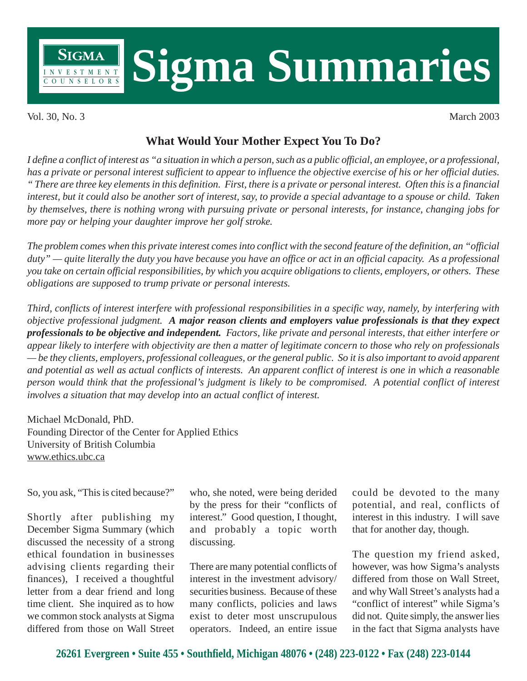

Vol. 30, No. 3 March 2003

## **What Would Your Mother Expect You To Do?**

*I define a conflict of interest as "a situation in which a person, such as a public official, an employee, or a professional, has a private or personal interest sufficient to appear to influence the objective exercise of his or her official duties. " There are three key elements in this definition. First, there is a private or personal interest. Often this is a financial interest, but it could also be another sort of interest, say, to provide a special advantage to a spouse or child. Taken by themselves, there is nothing wrong with pursuing private or personal interests, for instance, changing jobs for more pay or helping your daughter improve her golf stroke.*

*The problem comes when this private interest comes into conflict with the second feature of the definition, an "official duty" — quite literally the duty you have because you have an office or act in an official capacity. As a professional you take on certain official responsibilities, by which you acquire obligations to clients, employers, or others. These obligations are supposed to trump private or personal interests.*

*Third, conflicts of interest interfere with professional responsibilities in a specific way, namely, by interfering with objective professional judgment. A major reason clients and employers value professionals is that they expect professionals to be objective and independent. Factors, like private and personal interests, that either interfere or appear likely to interfere with objectivity are then a matter of legitimate concern to those who rely on professionals — be they clients, employers, professional colleagues, or the general public. So it is also important to avoid apparent and potential as well as actual conflicts of interests. An apparent conflict of interest is one in which a reasonable person would think that the professional's judgment is likely to be compromised. A potential conflict of interest involves a situation that may develop into an actual conflict of interest.*

Michael McDonald, PhD. Founding Director of the Center for Applied Ethics University of British Columbia www.ethics.ubc.ca

So, you ask, "This is cited because?"

Shortly after publishing my December Sigma Summary (which discussed the necessity of a strong ethical foundation in businesses advising clients regarding their finances), I received a thoughtful letter from a dear friend and long time client. She inquired as to how we common stock analysts at Sigma differed from those on Wall Street

who, she noted, were being derided by the press for their "conflicts of interest." Good question, I thought, and probably a topic worth discussing.

There are many potential conflicts of interest in the investment advisory/ securities business. Because of these many conflicts, policies and laws exist to deter most unscrupulous operators. Indeed, an entire issue could be devoted to the many potential, and real, conflicts of interest in this industry. I will save that for another day, though.

The question my friend asked, however, was how Sigma's analysts differed from those on Wall Street, and why Wall Street's analysts had a "conflict of interest" while Sigma's did not. Quite simply, the answer lies in the fact that Sigma analysts have